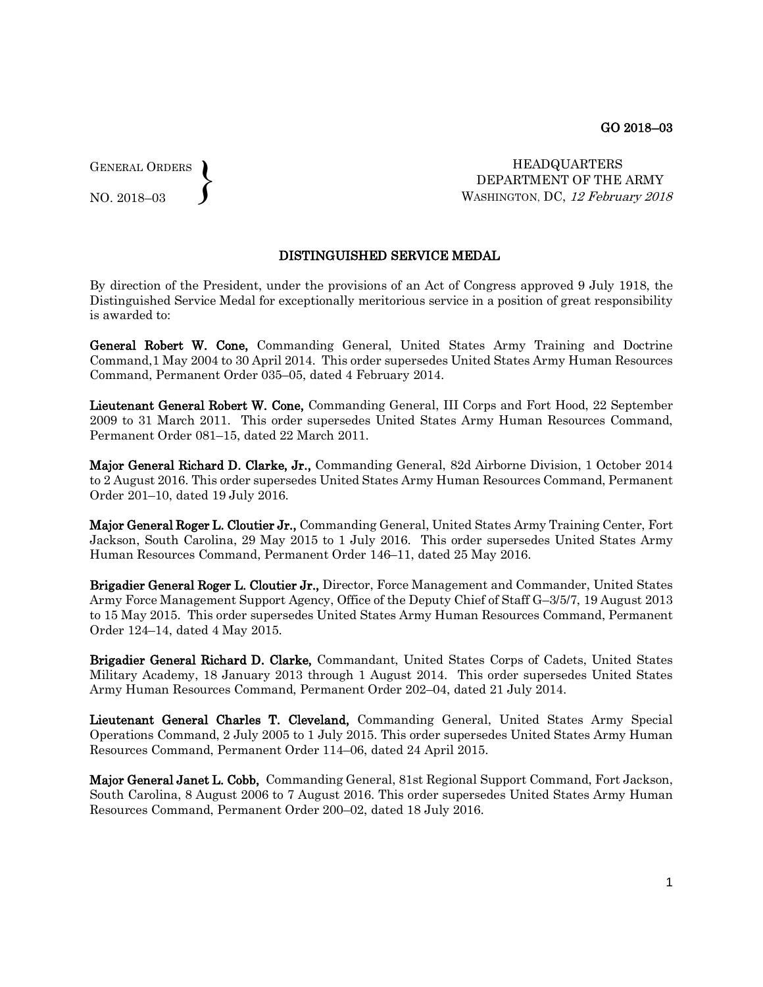GENERAL ORDERS  $\left\{ \right\}$ 

NO. 2018–03

HEADQUARTERS DEPARTMENT OF THE ARMY WASHINGTON, DC, 12 February 2018

## DISTINGUISHED SERVICE MEDAL

By direction of the President, under the provisions of an Act of Congress approved 9 July 1918, the Distinguished Service Medal for exceptionally meritorious service in a position of great responsibility is awarded to:

General Robert W. Cone, Commanding General, United States Army Training and Doctrine Command,1 May 2004 to 30 April 2014. This order supersedes United States Army Human Resources Command, Permanent Order 035–05, dated 4 February 2014.

Lieutenant General Robert W. Cone, Commanding General, III Corps and Fort Hood, 22 September 2009 to 31 March 2011. This order supersedes United States Army Human Resources Command, Permanent Order 081–15, dated 22 March 2011.

Major General Richard D. Clarke, Jr., Commanding General, 82d Airborne Division, 1 October 2014 to 2 August 2016. This order supersedes United States Army Human Resources Command, Permanent Order 201–10, dated 19 July 2016.

Major General Roger L. Cloutier Jr., Commanding General, United States Army Training Center, Fort Jackson, South Carolina, 29 May 2015 to 1 July 2016. This order supersedes United States Army Human Resources Command, Permanent Order 146–11, dated 25 May 2016.

Brigadier General Roger L. Cloutier Jr., Director, Force Management and Commander, United States Army Force Management Support Agency, Office of the Deputy Chief of Staff G–3/5/7, 19 August 2013 to 15 May 2015. This order supersedes United States Army Human Resources Command, Permanent Order 124–14, dated 4 May 2015.

Brigadier General Richard D. Clarke, Commandant, United States Corps of Cadets, United States Military Academy, 18 January 2013 through 1 August 2014. This order supersedes United States Army Human Resources Command, Permanent Order 202–04, dated 21 July 2014.

Lieutenant General Charles T. Cleveland, Commanding General, United States Army Special Operations Command, 2 July 2005 to 1 July 2015. This order supersedes United States Army Human Resources Command, Permanent Order 114–06, dated 24 April 2015.

Major General Janet L. Cobb, Commanding General, 81st Regional Support Command, Fort Jackson, South Carolina, 8 August 2006 to 7 August 2016. This order supersedes United States Army Human Resources Command, Permanent Order 200–02, dated 18 July 2016.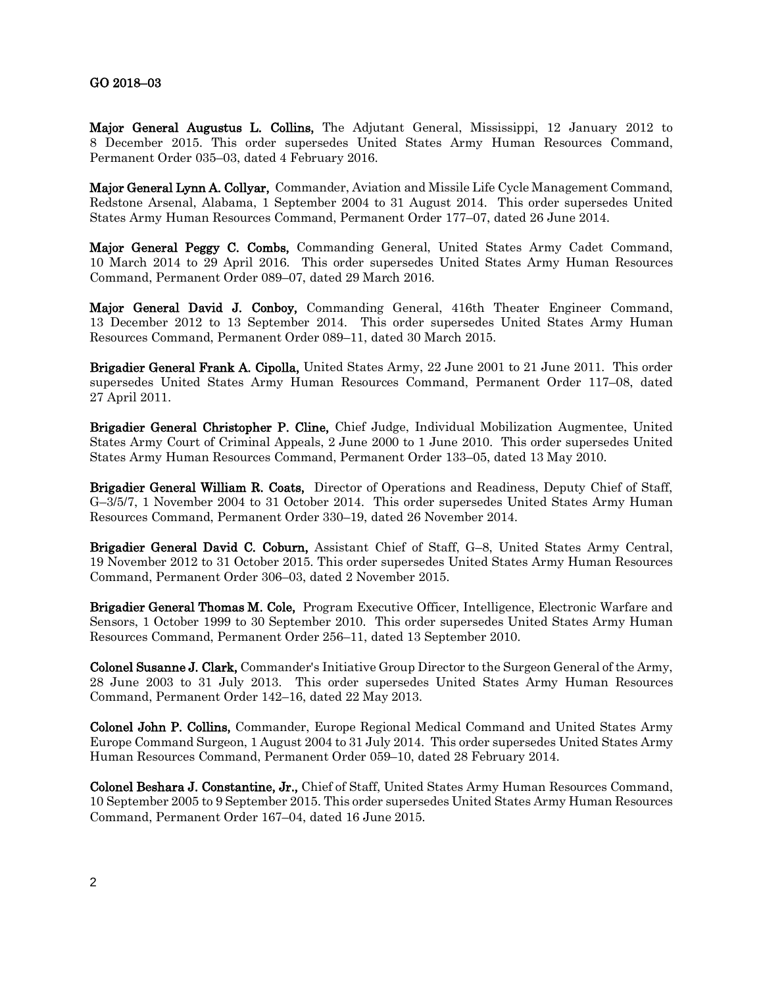## GO 2018–03

Major General Augustus L. Collins, The Adjutant General, Mississippi, 12 January 2012 to 8 December 2015. This order supersedes United States Army Human Resources Command, Permanent Order 035–03, dated 4 February 2016.

Major General Lynn A. Collyar, Commander, Aviation and Missile Life Cycle Management Command, Redstone Arsenal, Alabama, 1 September 2004 to 31 August 2014. This order supersedes United States Army Human Resources Command, Permanent Order 177–07, dated 26 June 2014.

Major General Peggy C. Combs, Commanding General, United States Army Cadet Command, 10 March 2014 to 29 April 2016. This order supersedes United States Army Human Resources Command, Permanent Order 089–07, dated 29 March 2016.

Major General David J. Conboy, Commanding General, 416th Theater Engineer Command, 13 December 2012 to 13 September 2014. This order supersedes United States Army Human Resources Command, Permanent Order 089–11, dated 30 March 2015.

Brigadier General Frank A. Cipolla, United States Army, 22 June 2001 to 21 June 2011. This order supersedes United States Army Human Resources Command, Permanent Order 117–08, dated 27 April 2011.

Brigadier General Christopher P. Cline, Chief Judge, Individual Mobilization Augmentee, United States Army Court of Criminal Appeals, 2 June 2000 to 1 June 2010. This order supersedes United States Army Human Resources Command, Permanent Order 133–05, dated 13 May 2010.

Brigadier General William R. Coats, Director of Operations and Readiness, Deputy Chief of Staff, G–3/5/7, 1 November 2004 to 31 October 2014. This order supersedes United States Army Human Resources Command, Permanent Order 330–19, dated 26 November 2014.

Brigadier General David C. Coburn, Assistant Chief of Staff, G–8, United States Army Central, 19 November 2012 to 31 October 2015. This order supersedes United States Army Human Resources Command, Permanent Order 306–03, dated 2 November 2015.

Brigadier General Thomas M. Cole, Program Executive Officer, Intelligence, Electronic Warfare and Sensors, 1 October 1999 to 30 September 2010. This order supersedes United States Army Human Resources Command, Permanent Order 256–11, dated 13 September 2010.

Colonel Susanne J. Clark, Commander's Initiative Group Director to the Surgeon General of the Army, 28 June 2003 to 31 July 2013. This order supersedes United States Army Human Resources Command, Permanent Order 142–16, dated 22 May 2013.

Colonel John P. Collins, Commander, Europe Regional Medical Command and United States Army Europe Command Surgeon, 1 August 2004 to 31 July 2014. This order supersedes United States Army Human Resources Command, Permanent Order 059–10, dated 28 February 2014.

Colonel Beshara J. Constantine, Jr., Chief of Staff, United States Army Human Resources Command, 10 September 2005 to 9 September 2015. This order supersedes United States Army Human Resources Command, Permanent Order 167–04, dated 16 June 2015.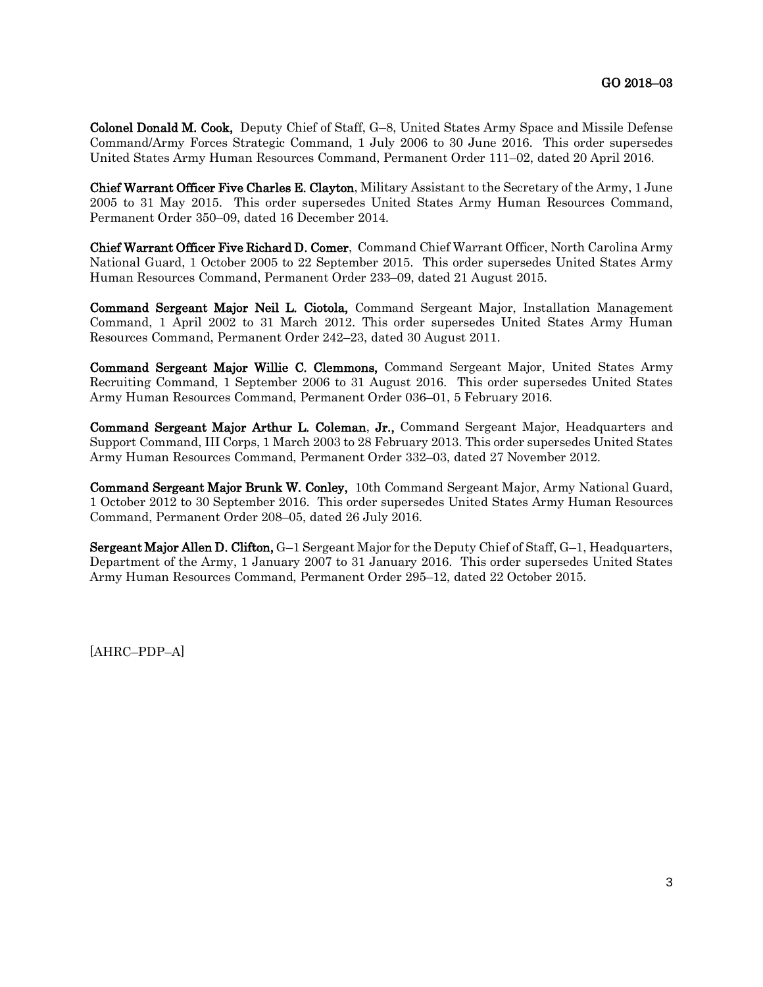Colonel Donald M. Cook, Deputy Chief of Staff, G–8, United States Army Space and Missile Defense Command/Army Forces Strategic Command, 1 July 2006 to 30 June 2016. This order supersedes United States Army Human Resources Command, Permanent Order 111–02, dated 20 April 2016.

Chief Warrant Officer Five Charles E. Clayton, Military Assistant to the Secretary of the Army, 1 June 2005 to 31 May 2015. This order supersedes United States Army Human Resources Command, Permanent Order 350–09, dated 16 December 2014.

Chief Warrant Officer Five Richard D. Comer, Command Chief Warrant Officer, North Carolina Army National Guard, 1 October 2005 to 22 September 2015. This order supersedes United States Army Human Resources Command, Permanent Order 233–09, dated 21 August 2015.

Command Sergeant Major Neil L. Ciotola, Command Sergeant Major, Installation Management Command, 1 April 2002 to 31 March 2012. This order supersedes United States Army Human Resources Command, Permanent Order 242–23, dated 30 August 2011.

Command Sergeant Major Willie C. Clemmons, Command Sergeant Major, United States Army Recruiting Command, 1 September 2006 to 31 August 2016. This order supersedes United States Army Human Resources Command, Permanent Order 036–01, 5 February 2016.

Command Sergeant Major Arthur L. Coleman, Jr., Command Sergeant Major, Headquarters and Support Command, III Corps, 1 March 2003 to 28 February 2013. This order supersedes United States Army Human Resources Command, Permanent Order 332–03, dated 27 November 2012.

Command Sergeant Major Brunk W. Conley, 10th Command Sergeant Major, Army National Guard, 1 October 2012 to 30 September 2016. This order supersedes United States Army Human Resources Command, Permanent Order 208–05, dated 26 July 2016.

Sergeant Major Allen D. Clifton, G–1 Sergeant Major for the Deputy Chief of Staff, G–1, Headquarters, Department of the Army, 1 January 2007 to 31 January 2016. This order supersedes United States Army Human Resources Command, Permanent Order 295–12, dated 22 October 2015.

[AHRC–PDP–A]